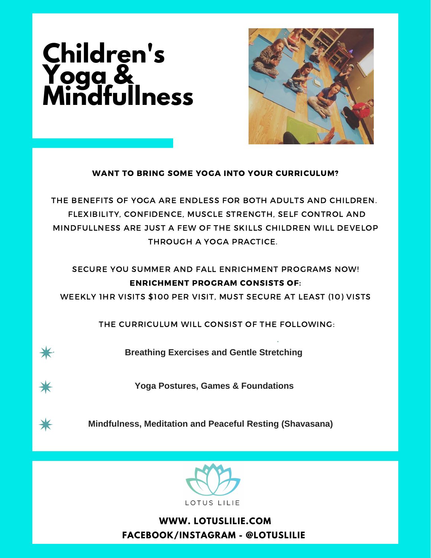## **Children's Yoga & Mindfullness**



## WANT TO BRING SOME YOGA INTO YOUR CURRICULUM?

THE BENEFITS OF YOGA ARE ENDLESS FOR BOTH ADULTS AND CHILDREN. FLEXIBILITY, CONFIDENCE, MUSCLE STRENGTH, SELF CONTROL AND MINDFULLNESS ARE JUST A FEW OF THE SKILLS CHILDREN WILL DEVELOP THROUGH A YOGA PRACTICE.

SECURE YOU SUMMER AND FALL ENRICHMENT PROGRAMS NOW! ENRICHMENT PROGRAM CONSISTS OF:

WEEKLY 1HR VISITS \$100 PER VISIT, MUST SECURE AT LEAST (10) VISTS

THE CURRICULUM WILL CONSIST OF THE FOLLOWING:



**Breathing Exercises and Gentle Stretching**

**Yoga Postures, Games & Foundations**



 $\bigstar$ 

**Mindfulness, Meditation and Peaceful Resting (Shavasana)**



**WWW. LOTUSLILIE.COM FACEBOOK/INSTAGRAM - @LOTUSLILIE**